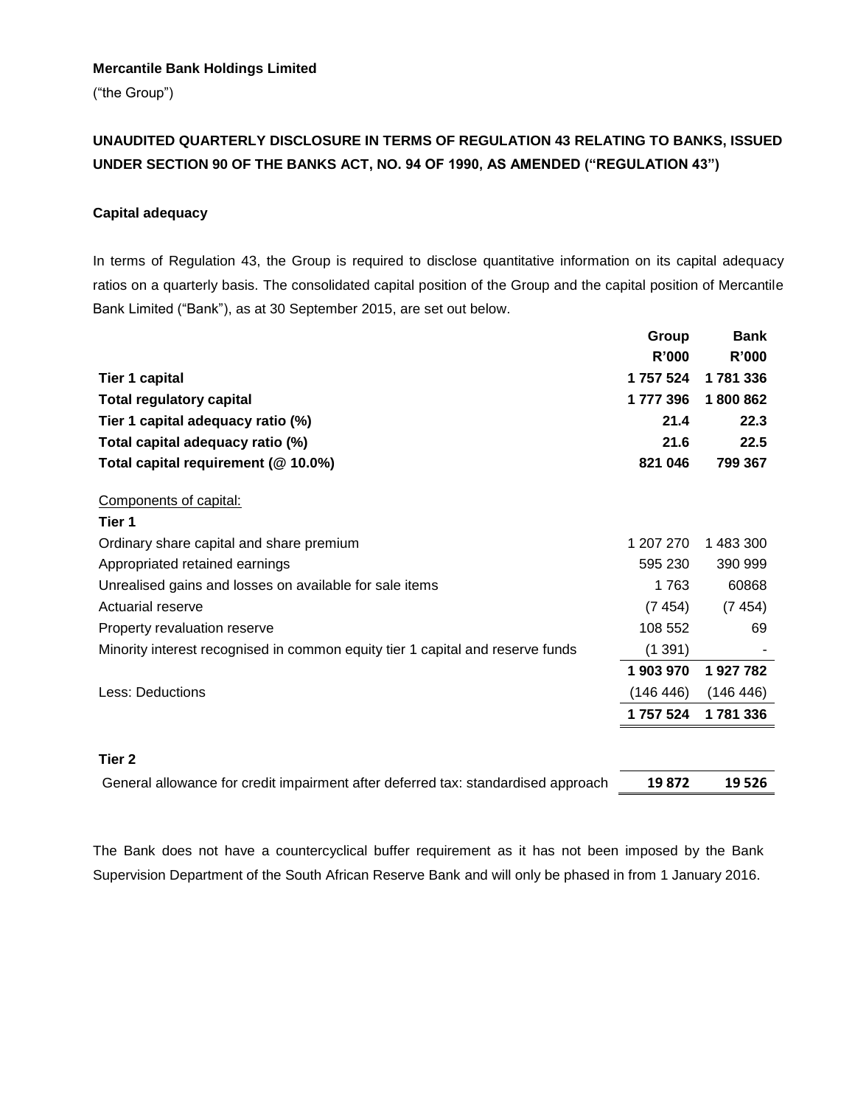## **Mercantile Bank Holdings Limited**

("the Group")

## **UNAUDITED QUARTERLY DISCLOSURE IN TERMS OF REGULATION 43 RELATING TO BANKS, ISSUED UNDER SECTION 90 OF THE BANKS ACT, NO. 94 OF 1990, AS AMENDED ("REGULATION 43")**

## **Capital adequacy**

In terms of Regulation 43, the Group is required to disclose quantitative information on its capital adequacy ratios on a quarterly basis. The consolidated capital position of the Group and the capital position of Mercantile Bank Limited ("Bank"), as at 30 September 2015, are set out below.

|                                                                                   | Group     | <b>Bank</b> |
|-----------------------------------------------------------------------------------|-----------|-------------|
|                                                                                   | R'000     | R'000       |
| <b>Tier 1 capital</b>                                                             | 1757524   | 1781336     |
| <b>Total regulatory capital</b>                                                   | 1777396   | 1800862     |
| Tier 1 capital adequacy ratio (%)                                                 | 21.4      | 22.3        |
| Total capital adequacy ratio (%)                                                  | 21.6      | 22.5        |
| Total capital requirement (@ 10.0%)                                               | 821 046   | 799 367     |
| Components of capital:                                                            |           |             |
| Tier 1                                                                            |           |             |
| Ordinary share capital and share premium                                          | 1 207 270 | 1 483 300   |
| Appropriated retained earnings                                                    | 595 230   | 390 999     |
| Unrealised gains and losses on available for sale items                           | 1763      | 60868       |
| Actuarial reserve                                                                 | (7454)    | (7454)      |
| Property revaluation reserve                                                      | 108 552   | 69          |
| Minority interest recognised in common equity tier 1 capital and reserve funds    | (1391)    |             |
|                                                                                   | 1 903 970 | 1927782     |
| Less: Deductions                                                                  | (146 446) | (146 446)   |
|                                                                                   | 1757524   | 1781336     |
| Tier 2                                                                            |           |             |
|                                                                                   | 19872     | 19 5 26     |
| General allowance for credit impairment after deferred tax: standardised approach |           |             |

The Bank does not have a countercyclical buffer requirement as it has not been imposed by the Bank Supervision Department of the South African Reserve Bank and will only be phased in from 1 January 2016.